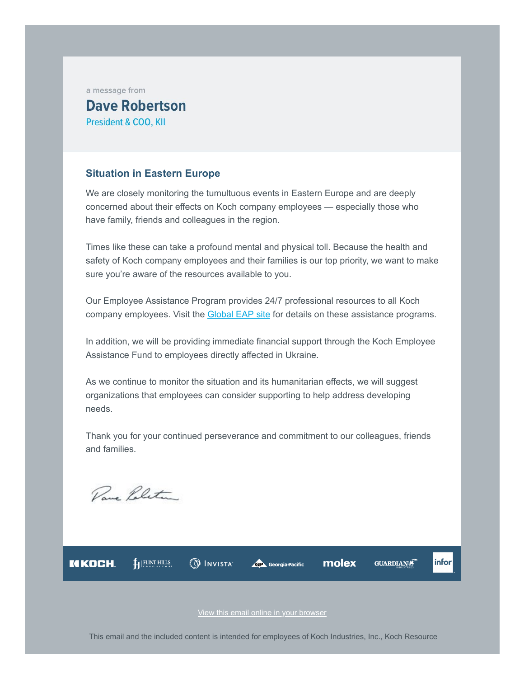a message from

## **Dave Robertson President & COO, KII**

## **Situation in Eastern Europe**

We are closely monitoring the tumultuous events in Eastern Europe and are deeply concerned about their effects on Koch company employees — especially those who have family, friends and colleagues in the region.

Times like these can take a profound mental and physical toll. Because the health and safety of Koch company employees and their families is our top priority, we want to make sure you're aware of the resources available to you.

Our Employee Assistance Program provides 24/7 professional resources to all Koch company employees. Visit the **[Global EAP site](https://email.kochind.com/r/c-1x-udHuhvtfnlfRWahiBpHLf0-QDjK3uYkA-QkW8SJ.htm)** for details on these assistance programs.

In addition, we will be providing immediate financial support through the Koch Employee Assistance Fund to employees directly affected in Ukraine.

As we continue to monitor the situation and its humanitarian effects, we will suggest organizations that employees can consider supporting to help address developing needs.

Thank you for your continued perseverance and commitment to our colleagues, friends and families.

Pare Politic

flex HILLS **O INVISTA** KIKOCH. molex **GUARDIAN** infor **GP** Georgia Pacific

[View this email online in your browser](https://email.kochind.com/u/lp/Internal_Comms/t/c-1x-mAdIHUX5VmLfPWZRXQ-QDjK3uYkA-QkW8SJ/m/e/DLR-Ukraine-Situation.htm)

This email and the included content is intended for employees of Koch Industries, Inc., Koch Resource